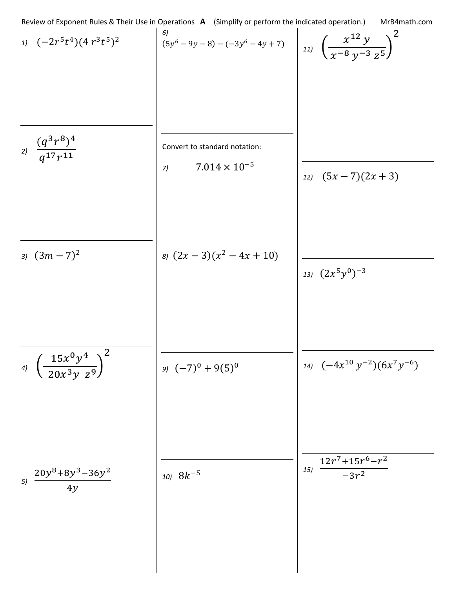$$
\frac{1}{2} \int \frac{(-2r^5t^4)(4r^3t^5)^2}{(3r^6-9y-8) - (-3y^6-4y+7)}
$$
\n
$$
\frac{1}{2} \int \frac{x^{12}y}{(x^{-8}y^{-3}z^5)^2}
$$
\n
$$
\frac{1}{2} \int \frac{x^{12}y}{(x^{-8}y^{-3}z^5)^2}
$$
\n
$$
\frac{1}{2} \int \frac{x^{12}y}{(x^{-8}y^{-3}z^5)^2}
$$
\n
$$
\frac{1}{2} \int \frac{x^{12}y}{(5x-7)(2x+3)}
$$
\n
$$
\frac{1}{2} \int \frac{1}{2} \int (5x-7)(2x+3)
$$
\n
$$
\frac{1}{2} \int \frac{1}{2} \int (5x-7)(2x+3)
$$
\n
$$
\frac{1}{2} \int \frac{1}{2} \int (2x^5y^0)^{-3}
$$
\n
$$
\frac{1}{2} \int \frac{1}{2} \int (2x^5y^0)^{-3}
$$
\n
$$
\frac{1}{2} \int \frac{1}{2} \int \frac{1}{2} \int (2x^3y^{-2})(6x^7y^{-6})
$$
\n
$$
\frac{1}{2} \int \frac{20y^8+8y^3-36y^2}{4y^3}
$$
\n
$$
\frac{1}{2} \int \frac{1}{2} \int \frac{12r^7+15r^6-r^2}{-3r^2}
$$